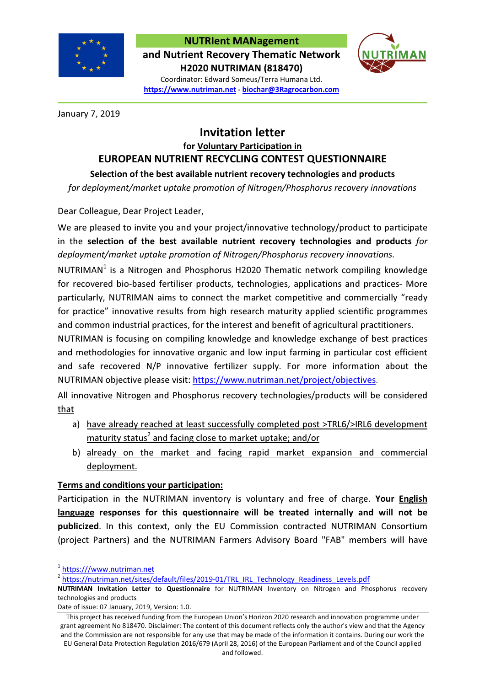

## NUTRIent MANagement and Nutrient Recovery Thematic Network H2020 NUTRIMAN (818470)



Coordinator: Edward Someus/Terra Humana Ltd. https://www.nutriman.net - biochar@3Ragrocarbon.com

January 7, 2019

## Invitation letter for Voluntary Participation in EUROPEAN NUTRIENT RECYCLING CONTEST QUESTIONNAIRE

Selection of the best available nutrient recovery technologies and products

for deployment/market uptake promotion of Nitrogen/Phosphorus recovery innovations

Dear Colleague, Dear Project Leader,

We are pleased to invite you and your project/innovative technology/product to participate in the selection of the best available nutrient recovery technologies and products for deployment/market uptake promotion of Nitrogen/Phosphorus recovery innovations.

NUTRIMAN<sup>1</sup> is a Nitrogen and Phosphorus H2020 Thematic network compiling knowledge for recovered bio-based fertiliser products, technologies, applications and practices- More particularly, NUTRIMAN aims to connect the market competitive and commercially "ready for practice" innovative results from high research maturity applied scientific programmes and common industrial practices, for the interest and benefit of agricultural practitioners.

NUTRIMAN is focusing on compiling knowledge and knowledge exchange of best practices and methodologies for innovative organic and low input farming in particular cost efficient and safe recovered N/P innovative fertilizer supply. For more information about the NUTRIMAN objective please visit: https://www.nutriman.net/project/objectives.

All innovative Nitrogen and Phosphorus recovery technologies/products will be considered that

- a) have already reached at least successfully completed post >TRL6/>IRL6 development maturity status<sup>2</sup> and facing close to market uptake; and/or
- b) already on the market and facing rapid market expansion and commercial deployment.

## Terms and conditions your participation:

Participation in the NUTRIMAN inventory is voluntary and free of charge. Your **English** language responses for this questionnaire will be treated internally and will not be publicized. In this context, only the EU Commission contracted NUTRIMAN Consortium (project Partners) and the NUTRIMAN Farmers Advisory Board "FAB" members will have

 $\overline{a}$ 

Date of issue: 07 January, 2019, Version: 1.0.

<sup>&</sup>lt;sup>1</sup> https:///www.nutriman.net

<sup>&</sup>lt;sup>2</sup> https://nutriman.net/sites/default/files/2019-01/TRL\_IRL\_Technology\_Readiness\_Levels.pdf

NUTRIMAN Invitation Letter to Questionnaire for NUTRIMAN Inventory on Nitrogen and Phosphorus recovery technologies and products

This project has received funding from the European Union's Horizon 2020 research and innovation programme under grant agreement No 818470. Disclaimer: The content of this document reflects only the author's view and that the Agency and the Commission are not responsible for any use that may be made of the information it contains. During our work the EU General Data Protection Regulation 2016/679 (April 28, 2016) of the European Parliament and of the Council applied